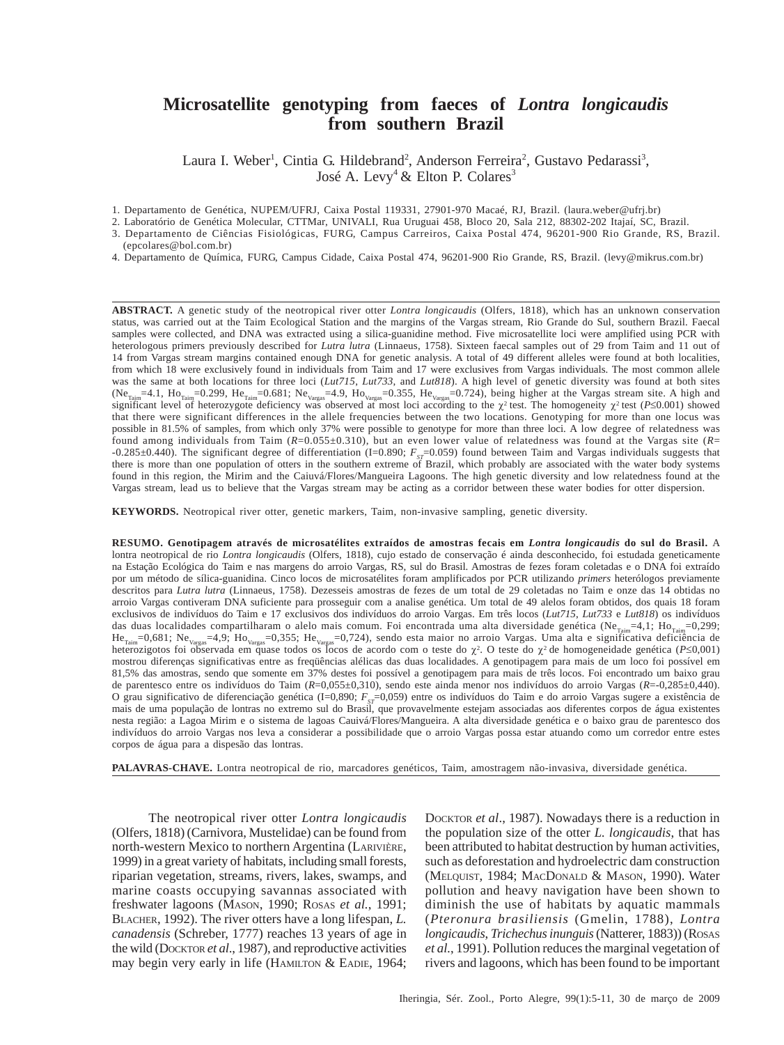# **Microsatellite genotyping from faeces of** *Lontra longicaudis* **from southern Brazil**

Laura I. Weber<sup>1</sup>, Cintia G. Hildebrand<sup>2</sup>, Anderson Ferreira<sup>2</sup>, Gustavo Pedarassi<sup>3</sup>, José A. Levy<sup>4</sup> & Elton P. Colares<sup>3</sup>

1. Departamento de Genética, NUPEM/UFRJ, Caixa Postal 119331, 27901-970 Macaé, RJ, Brazil. (laura.weber@ufrj.br)

2. Laboratório de Genética Molecular, CTTMar, UNIVALI, Rua Uruguai 458, Bloco 20, Sala 212, 88302-202 Itajaí, SC, Brazil.

3. Departamento de Ciências Fisiológicas, FURG, Campus Carreiros, Caixa Postal 474, 96201-900 Rio Grande, RS, Brazil. (epcolares@bol.com.br)

4. Departamento de Química, FURG, Campus Cidade, Caixa Postal 474, 96201-900 Rio Grande, RS, Brazil. (levy@mikrus.com.br)

**ABSTRACT.** A genetic study of the neotropical river otter *Lontra longicaudis* (Olfers, 1818), which has an unknown conservation status, was carried out at the Taim Ecological Station and the margins of the Vargas stream, Rio Grande do Sul, southern Brazil. Faecal samples were collected, and DNA was extracted using a silica-guanidine method. Five microsatellite loci were amplified using PCR with heterologous primers previously described for *Lutra lutra* (Linnaeus, 1758). Sixteen faecal samples out of 29 from Taim and 11 out of 14 from Vargas stream margins contained enough DNA for genetic analysis. A total of 49 different alleles were found at both localities, from which 18 were exclusively found in individuals from Taim and 17 were exclusives from Vargas individuals. The most common allele was the same at both locations for three loci (*Lut715*, *Lut733*, and *Lut818*). A high level of genetic diversity was found at both sites (Ne<sub>raim</sub>=4.1, Ho<sub>raim</sub>=0.299, He<sub>raim</sub>=0.681; Ne<sub>Vargas</sub>=4.9, Ho<sub>Vargas</sub>=0.355, He<sub>Vargas</sub>=0.724), being higher at the Vargas stream site. A high and significant level of heterozygote deficiency was observed at most loci that there were significant differences in the allele frequencies between the two locations. Genotyping for more than one locus was possible in 81.5% of samples, from which only 37% were possible to genotype for more than three loci. A low degree of relatedness was found among individuals from Taim  $(R=0.055\pm0.310)$ , but an even lower value of relatedness was found at the Vargas site  $(R=$  $-0.285\pm0.440$ ). The significant degree of differentiation (I=0.890;  $F_{ST}$ =0.059) found between Taim and Vargas individuals suggests that there is more than one population of otters in the southern extreme of Brazil, which probably are associated with the water body systems found in this region, the Mirim and the Caiuvá/Flores/Mangueira Lagoons. The high genetic diversity and low relatedness found at the Vargas stream, lead us to believe that the Vargas stream may be acting as a corridor between these water bodies for otter dispersion.

**KEYWORDS.** Neotropical river otter, genetic markers, Taim, non-invasive sampling, genetic diversity.

**RESUMO. Genotipagem através de microsatélites extraídos de amostras fecais em** *Lontra longicaudis* **do sul do Brasil.** A lontra neotropical de rio *Lontra longicaudis* (Olfers, 1818), cujo estado de conservação é ainda desconhecido, foi estudada geneticamente na Estação Ecológica do Taim e nas margens do arroio Vargas, RS, sul do Brasil. Amostras de fezes foram coletadas e o DNA foi extraído por um método de sílica-guanidina. Cinco locos de microsatélites foram amplificados por PCR utilizando *primers* heterólogos previamente descritos para *Lutra lutra* (Linnaeus, 1758). Dezesseis amostras de fezes de um total de 29 coletadas no Taim e onze das 14 obtidas no arroio Vargas contiveram DNA suficiente para prosseguir com a analise genética. Um total de 49 alelos foram obtidos, dos quais 18 foram exclusivos de indivíduos do Taim e 17 exclusivos dos indivíduos do arroio Vargas. Em três locos (*Lut715*, *Lut733* e *Lut818*) os indivíduos das duas localidades compartilharam o alelo mais comum. Foi encontrada uma alta diversidade genética (Ne<sub>Taim</sub>=4,1; Ho<sub>Taim</sub>=0,299; He<sub>raim</sub>=0,681; Ne<sub>vargas</sub>=4,9; Ho<sub>vargas</sub>=0,355; He<sub>vargas</sub>=0,724), sendo esta maior no arroio Vargas. Uma alta e significativa deficiência de<br>heterozigotos foi observada em quase todos os locos de acordo com o teste do mostrou diferenças significativas entre as freqüências alélicas das duas localidades. A genotipagem para mais de um loco foi possível em 81,5% das amostras, sendo que somente em 37% destes foi possível a genotipagem para mais de três locos. Foi encontrado um baixo grau de parentesco entre os indivíduos do Taim (*R*=0,055±0,310), sendo este ainda menor nos indivíduos do arroio Vargas (*R*=-0,285±0,440). O grau significativo de diferenciação genética (I=0,890; *F<sub>ST</sub>*=0,059) entre os indivíduos do Taim e do arroio Vargas sugere a existência de mais de uma população de lontras no extremo sul do Brasil, que provavelmente estejam associadas aos diferentes corpos de água existentes nesta região: a Lagoa Mirim e o sistema de lagoas Cauivá/Flores/Mangueira. A alta diversidade genética e o baixo grau de parentesco dos indivíduos do arroio Vargas nos leva a considerar a possibilidade que o arroio Vargas possa estar atuando como um corredor entre estes corpos de água para a dispesão das lontras.

**PALAVRAS-CHAVE.** Lontra neotropical de rio, marcadores genéticos, Taim, amostragem não-invasiva, diversidade genética.

 The neotropical river otter *Lontra longicaudis* (Olfers, 1818) (Carnivora, Mustelidae) can be found from north-western Mexico to northern Argentina (LARIVIÈRE, 1999) in a great variety of habitats, including small forests, riparian vegetation, streams, rivers, lakes, swamps, and marine coasts occupying savannas associated with freshwater lagoons (MASON, 1990; ROSAS *et al.*, 1991; BLACHER, 1992). The river otters have a long lifespan, *L. canadensis* (Schreber, 1777) reaches 13 years of age in the wild (DOCKTOR *et al*., 1987), and reproductive activities may begin very early in life (HAMILTON & EADIE, 1964; DOCKTOR *et al*., 1987). Nowadays there is a reduction in the population size of the otter *L. longicaudis*, that has been attributed to habitat destruction by human activities, such as deforestation and hydroelectric dam construction (MELQUIST, 1984; MACDONALD & MASON, 1990). Water pollution and heavy navigation have been shown to diminish the use of habitats by aquatic mammals (*Pteronura brasiliensis* (Gmelin, 1788), *Lontra longicaudis*, *Trichechus inunguis* (Natterer, 1883)) (ROSAS *et al.*, 1991). Pollution reduces the marginal vegetation of rivers and lagoons, which has been found to be important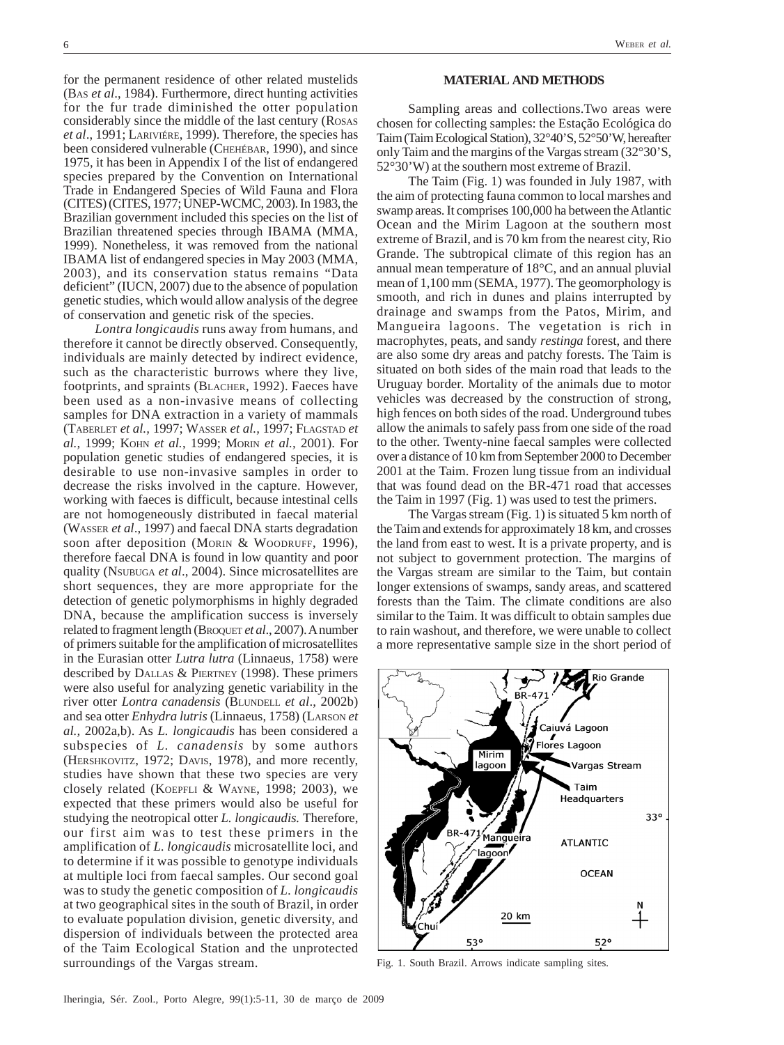for the permanent residence of other related mustelids (BAS *et al*., 1984). Furthermore, direct hunting activities for the fur trade diminished the otter population considerably since the middle of the last century (ROSAS *et al*., 1991; LARIVIÉRE, 1999). Therefore, the species has been considered vulnerable (CHEHÉBAR, 1990), and since 1975, it has been in Appendix I of the list of endangered species prepared by the Convention on International Trade in Endangered Species of Wild Fauna and Flora (CITES) (CITES, 1977; UNEP-WCMC, 2003). In 1983, the Brazilian government included this species on the list of Brazilian threatened species through IBAMA (MMA, 1999). Nonetheless, it was removed from the national IBAMA list of endangered species in May 2003 (MMA, 2003), and its conservation status remains "Data deficient" (IUCN, 2007) due to the absence of population genetic studies, which would allow analysis of the degree of conservation and genetic risk of the species.

*Lontra longicaudis* runs away from humans, and therefore it cannot be directly observed. Consequently, individuals are mainly detected by indirect evidence, such as the characteristic burrows where they live, footprints, and spraints (BLACHER, 1992). Faeces have been used as a non-invasive means of collecting samples for DNA extraction in a variety of mammals (TABERLET *et al.,* 1997; WASSER *et al.,* 1997; FLAGSTAD *et al.,* 1999; KOHN *et al.*, 1999; MORIN *et al.,* 2001). For population genetic studies of endangered species, it is desirable to use non-invasive samples in order to decrease the risks involved in the capture. However, working with faeces is difficult, because intestinal cells are not homogeneously distributed in faecal material (WASSER *et al*., 1997) and faecal DNA starts degradation soon after deposition (MORIN & WOODRUFF, 1996), therefore faecal DNA is found in low quantity and poor quality (NSUBUGA *et al*., 2004). Since microsatellites are short sequences, they are more appropriate for the detection of genetic polymorphisms in highly degraded DNA, because the amplification success is inversely related to fragment length (BROQUET *et al*., 2007). A number of primers suitable for the amplification of microsatellites in the Eurasian otter *Lutra lutra* (Linnaeus, 1758) were described by DALLAS & PIERTNEY (1998). These primers were also useful for analyzing genetic variability in the river otter *Lontra canadensis* (BLUNDELL *et al*., 2002b) and sea otter *Enhydra lutris* (Linnaeus, 1758) (LARSON *et al.,* 2002a,b). As *L. longicaudis* has been considered a subspecies of *L. canadensis* by some authors (HERSHKOVITZ, 1972; DAVIS, 1978), and more recently, studies have shown that these two species are very closely related (KOEPFLI & WAYNE, 1998; 2003), we expected that these primers would also be useful for studying the neotropical otter *L. longicaudis.* Therefore, our first aim was to test these primers in the amplification of *L. longicaudis* microsatellite loci, and to determine if it was possible to genotype individuals at multiple loci from faecal samples. Our second goal was to study the genetic composition of *L. longicaudis* at two geographical sites in the south of Brazil, in order to evaluate population division, genetic diversity, and dispersion of individuals between the protected area of the Taim Ecological Station and the unprotected surroundings of the Vargas stream.

### **MATERIAL AND METHODS**

Sampling areas and collections.Two areas were chosen for collecting samples: the Estação Ecológica do Taim (Taim Ecological Station), 32°40'S, 52°50'W, hereafter only Taim and the margins of the Vargas stream (32°30'S, 52°30'W) at the southern most extreme of Brazil.

The Taim (Fig. 1) was founded in July 1987, with the aim of protecting fauna common to local marshes and swamp areas. It comprises 100,000 ha between the Atlantic Ocean and the Mirim Lagoon at the southern most extreme of Brazil, and is 70 km from the nearest city, Rio Grande. The subtropical climate of this region has an annual mean temperature of 18°C, and an annual pluvial mean of 1,100 mm (SEMA, 1977). The geomorphology is smooth, and rich in dunes and plains interrupted by drainage and swamps from the Patos, Mirim, and Mangueira lagoons. The vegetation is rich in macrophytes, peats, and sandy *restinga* forest, and there are also some dry areas and patchy forests. The Taim is situated on both sides of the main road that leads to the Uruguay border. Mortality of the animals due to motor vehicles was decreased by the construction of strong, high fences on both sides of the road. Underground tubes allow the animals to safely pass from one side of the road to the other. Twenty-nine faecal samples were collected over a distance of 10 km from September 2000 to December 2001 at the Taim. Frozen lung tissue from an individual that was found dead on the BR-471 road that accesses the Taim in 1997 (Fig. 1) was used to test the primers.

The Vargas stream (Fig. 1) is situated 5 km north of the Taim and extends for approximately 18 km, and crosses the land from east to west. It is a private property, and is not subject to government protection. The margins of the Vargas stream are similar to the Taim, but contain longer extensions of swamps, sandy areas, and scattered forests than the Taim. The climate conditions are also similar to the Taim. It was difficult to obtain samples due to rain washout, and therefore, we were unable to collect a more representative sample size in the short period of



Fig. 1. South Brazil. Arrows indicate sampling sites.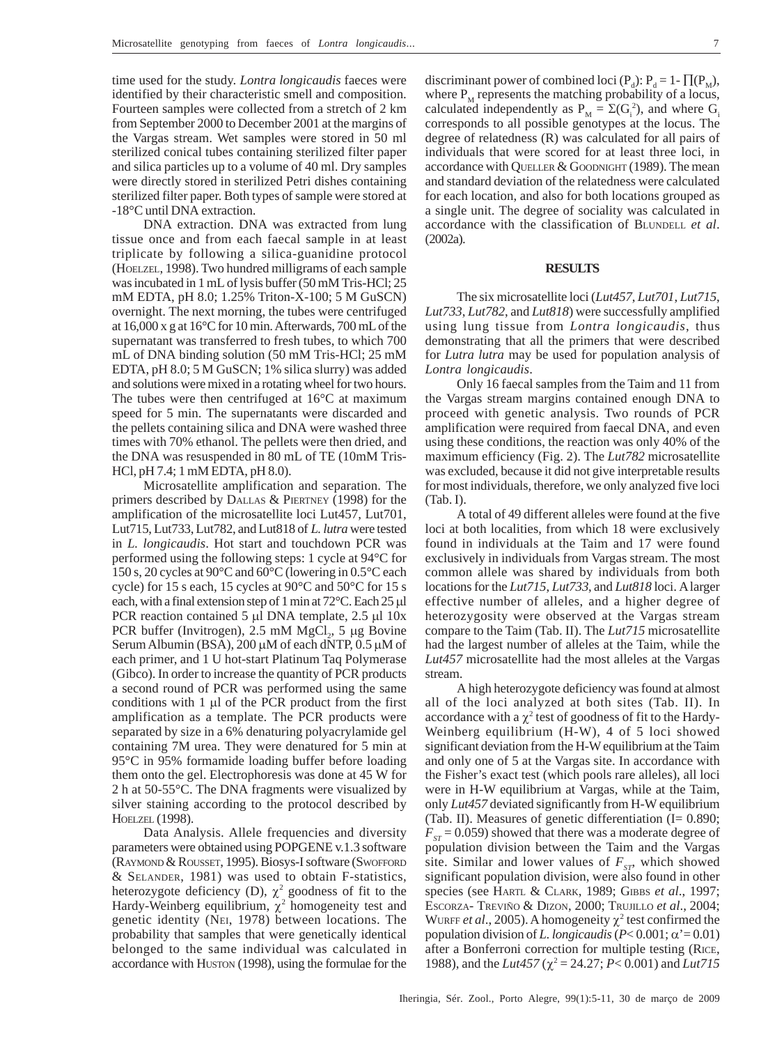time used for the study. *Lontra longicaudis* faeces were identified by their characteristic smell and composition. Fourteen samples were collected from a stretch of 2 km from September 2000 to December 2001 at the margins of the Vargas stream. Wet samples were stored in 50 ml sterilized conical tubes containing sterilized filter paper and silica particles up to a volume of 40 ml. Dry samples were directly stored in sterilized Petri dishes containing sterilized filter paper. Both types of sample were stored at -18°C until DNA extraction.

DNA extraction. DNA was extracted from lung tissue once and from each faecal sample in at least triplicate by following a silica-guanidine protocol (HOELZEL, 1998). Two hundred milligrams of each sample was incubated in 1 mL of lysis buffer (50 mM Tris-HCl; 25 mM EDTA, pH 8.0; 1.25% Triton-X-100; 5 M GuSCN) overnight. The next morning, the tubes were centrifuged at 16,000 x g at 16°C for 10 min. Afterwards, 700 mL of the supernatant was transferred to fresh tubes, to which 700 mL of DNA binding solution (50 mM Tris-HCl; 25 mM EDTA, pH 8.0; 5 M GuSCN; 1% silica slurry) was added and solutions were mixed in a rotating wheel for two hours. The tubes were then centrifuged at 16°C at maximum speed for 5 min. The supernatants were discarded and the pellets containing silica and DNA were washed three times with 70% ethanol. The pellets were then dried, and the DNA was resuspended in 80 mL of TE (10mM Tris-HCl, pH 7.4; 1 mM EDTA, pH 8.0).

Microsatellite amplification and separation. The primers described by DALLAS & PIERTNEY (1998) for the amplification of the microsatellite loci Lut457, Lut701, Lut715, Lut733, Lut782, and Lut818 of *L. lutra* were tested in *L. longicaudis*. Hot start and touchdown PCR was performed using the following steps: 1 cycle at 94°C for 150 s, 20 cycles at 90°C and 60°C (lowering in 0.5°C each cycle) for 15 s each, 15 cycles at 90°C and 50°C for 15 s each, with a final extension step of 1 min at 72°C. Each 25 μl PCR reaction contained 5 μl DNA template, 2.5 μl 10x PCR buffer (Invitrogen), 2.5 mM  $MgCl_2$ , 5 µg Bovine Serum Albumin (BSA), 200  $\mu$ M of each dNTP, 0.5  $\mu$ M of each primer, and 1 U hot-start Platinum Taq Polymerase (Gibco). In order to increase the quantity of PCR products a second round of PCR was performed using the same conditions with 1 μl of the PCR product from the first amplification as a template. The PCR products were separated by size in a 6% denaturing polyacrylamide gel containing 7M urea. They were denatured for 5 min at 95°C in 95% formamide loading buffer before loading them onto the gel. Electrophoresis was done at 45 W for 2 h at 50-55°C. The DNA fragments were visualized by silver staining according to the protocol described by HOELZEL (1998).

Data Analysis. Allele frequencies and diversity parameters were obtained using POPGENE v.1.3 software (RAYMOND & ROUSSET, 1995). Biosys-I software (SWOFFORD & SELANDER, 1981) was used to obtain F-statistics, heterozygote deficiency (D),  $\chi^2$  goodness of fit to the Hardy-Weinberg equilibrium,  $\chi^2$  homogeneity test and genetic identity (NEI, 1978) between locations. The probability that samples that were genetically identical belonged to the same individual was calculated in accordance with HUSTON (1998), using the formulae for the discriminant power of combined loci (P<sub>d</sub>): P<sub>d</sub> = 1-  $\prod(P_M)$ , where  $P_M$  represents the matching probability of a locus, calculated independently as  $P_M = \Sigma(G_i^2)$ , and where G<sub>i</sub> corresponds to all possible genotypes at the locus. The degree of relatedness (R) was calculated for all pairs of individuals that were scored for at least three loci, in accordance with QUELLER & GOODNIGHT (1989). The mean and standard deviation of the relatedness were calculated for each location, and also for both locations grouped as a single unit. The degree of sociality was calculated in accordance with the classification of BLUNDELL *et al*. (2002a).

## **RESULTS**

The six microsatellite loci (*Lut457*, *Lut701*, *Lut715*, *Lut733*, *Lut782*, and *Lut818*) were successfully amplified using lung tissue from *Lontra longicaudis*, thus demonstrating that all the primers that were described for *Lutra lutra* may be used for population analysis of *Lontra longicaudis*.

Only 16 faecal samples from the Taim and 11 from the Vargas stream margins contained enough DNA to proceed with genetic analysis. Two rounds of PCR amplification were required from faecal DNA, and even using these conditions, the reaction was only 40% of the maximum efficiency (Fig. 2). The *Lut782* microsatellite was excluded, because it did not give interpretable results for most individuals, therefore, we only analyzed five loci (Tab. I).

A total of 49 different alleles were found at the five loci at both localities, from which 18 were exclusively found in individuals at the Taim and 17 were found exclusively in individuals from Vargas stream. The most common allele was shared by individuals from both locations for the *Lut715*, *Lut733*, and *Lut818* loci. A larger effective number of alleles, and a higher degree of heterozygosity were observed at the Vargas stream compare to the Taim (Tab. II). The *Lut715* microsatellite had the largest number of alleles at the Taim, while the *Lut457* microsatellite had the most alleles at the Vargas stream.

A high heterozygote deficiency was found at almost all of the loci analyzed at both sites (Tab. II). In accordance with a  $\chi^2$  test of goodness of fit to the Hardy-Weinberg equilibrium (H-W), 4 of 5 loci showed significant deviation from the H-W equilibrium at the Taim and only one of 5 at the Vargas site. In accordance with the Fisher's exact test (which pools rare alleles), all loci were in H-W equilibrium at Vargas, while at the Taim, only *Lut457* deviated significantly from H-W equilibrium (Tab. II). Measures of genetic differentiation (I=  $0.890$ ;  $F_{ST}$  = 0.059) showed that there was a moderate degree of population division between the Taim and the Vargas site. Similar and lower values of  $F_{ST}$ , which showed significant population division, were also found in other species (see HARTL & CLARK, 1989; GIBBS *et al*., 1997; ESCORZA- TREVIÑO & DIZON, 2000; TRUJILLO *et al*., 2004; WURFF *et al.*, 2005). A homogeneity  $\chi^2$  test confirmed the population division of *L. longicaudis* ( $P < 0.001$ ;  $\alpha' = 0.01$ ) after a Bonferroni correction for multiple testing (RICE, 1988), and the *Lut457* ( $\chi^2 = 24.27$ ; *P*<0.001) and *Lut715*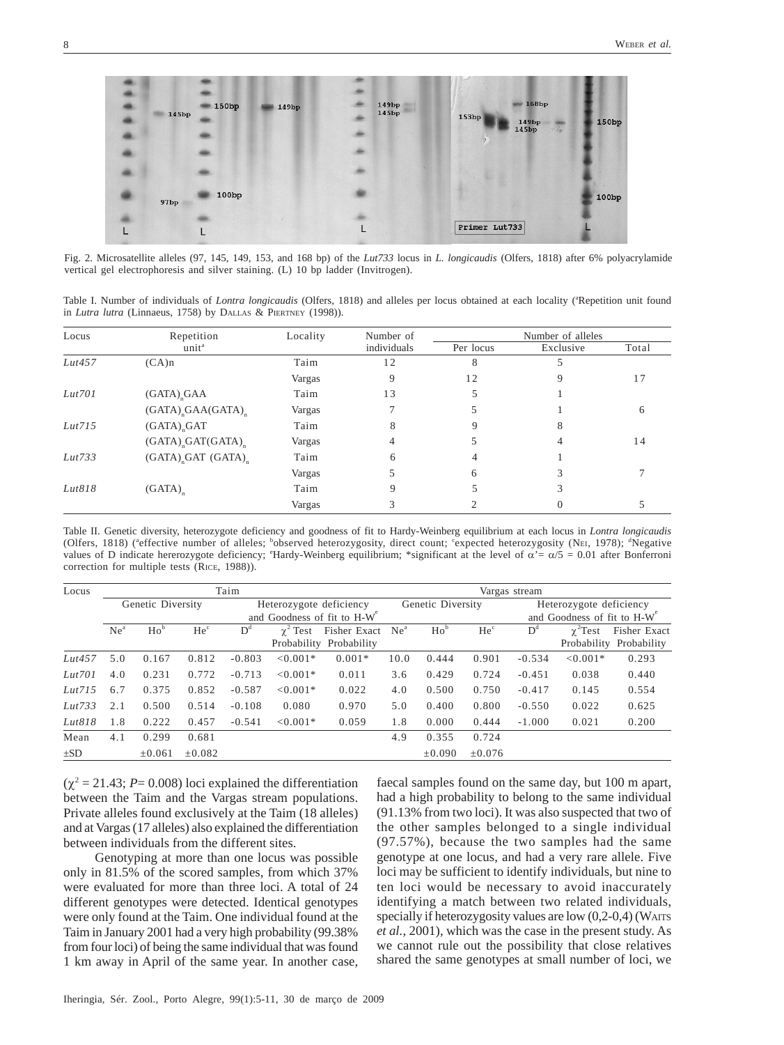

Fig. 2. Microsatellite alleles (97, 145, 149, 153, and 168 bp) of the *Lut733* locus in *L. longicaudis* (Olfers, 1818) after 6% polyacrylamide vertical gel electrophoresis and silver staining. (L) 10 bp ladder (Invitrogen).

Table I. Number of individuals of *Lontra longicaudis* (Olfers, 1818) and alleles per locus obtained at each locality ("Repetition unit found in *Lutra lutra* (Linnaeus, 1758) by DALLAS & PIERTNEY (1998)).

| Locus  | Repetition                                     | Locality | Number of   | Number of alleles |           |       |  |
|--------|------------------------------------------------|----------|-------------|-------------------|-----------|-------|--|
|        | unit <sup>a</sup>                              |          | individuals | Per locus         | Exclusive | Total |  |
| Lut457 | (CA)n                                          | Taim     | 12          | 8                 |           |       |  |
|        |                                                | Vargas   | 9           | 12                |           | 17    |  |
| Lut701 | (GATA) <sub>n</sub> GAA                        | Taim     | 13          |                   |           |       |  |
|        | $(GATA)$ <sub>n</sub> $GAA(GATA)$ <sub>n</sub> | Vargas   |             |                   |           | 6     |  |
| Lut715 | $(GATA)$ <sub><i><sub>n</sub>GAT</i></sub>     | Taim     | 8           |                   | 8         |       |  |
|        | $(GATA)$ <sub>n</sub> $GAT(GATA)$ <sub>n</sub> | Vargas   | 4           |                   | 4         | 14    |  |
| Lut733 | (GATA) GAT (GATA)                              | Taim     | 6           | 4                 |           |       |  |
|        |                                                | Vargas   |             | 6                 |           |       |  |
| Lut818 | $(GATA)$ <sub>n</sub>                          | Taim     | 9           |                   |           |       |  |
|        |                                                | Vargas   |             |                   |           |       |  |

Table II. Genetic diversity, heterozygote deficiency and goodness of fit to Hardy-Weinberg equilibrium at each locus in *Lontra longicaudis* (Olfers, 1818) ("effective number of alleles; "observed heterozygosity, direct count; "expected heterozygosity (NEI, 1978); "Negative values of D indicate hererozygote deficiency; "Hardy-Weinberg equilibrium; \*significant at the level of  $\alpha = \alpha/5 = 0.01$  after Bonferroni correction for multiple tests (RICE, 1988)).

| Locus    | Taim              |             |                 |                         |                                         |                              | Vargas stream     |        |                         |                |                            |                         |  |
|----------|-------------------|-------------|-----------------|-------------------------|-----------------------------------------|------------------------------|-------------------|--------|-------------------------|----------------|----------------------------|-------------------------|--|
|          | Genetic Diversity |             |                 | Heterozygote deficiency |                                         |                              | Genetic Diversity |        | Heterozygote deficiency |                |                            |                         |  |
|          |                   |             |                 |                         | and Goodness of fit to H-W <sup>o</sup> |                              |                   |        |                         |                | and Goodness of fit to H-W |                         |  |
|          | Ne <sup>a</sup>   | $Ho^b$      | He <sup>c</sup> | D <sup>d</sup>          | $\gamma^2$ Test                         | Fisher Exact Ne <sup>a</sup> |                   | $Ho^b$ | He <sup>c</sup>         | D <sup>d</sup> | $\gamma^2$ Test            | Fisher Exact            |  |
|          |                   |             |                 |                         |                                         | Probability Probability      |                   |        |                         |                |                            | Probability Probability |  |
| Lut457   | 5.0               | 0.167       | 0.812           | $-0.803$                | $< 0.001*$                              | $0.001*$                     | 10.0              | 0.444  | 0.901                   | $-0.534$       | $< 0.001*$                 | 0.293                   |  |
| Lut701   | 4.0               | 0.231       | 0.772           | $-0.713$                | $< 0.001*$                              | 0.011                        | 3.6               | 0.429  | 0.724                   | $-0.451$       | 0.038                      | 0.440                   |  |
| Lut715   | 6.7               | 0.375       | 0.852           | $-0.587$                | $< 0.001*$                              | 0.022                        | 4.0               | 0.500  | 0.750                   | $-0.417$       | 0.145                      | 0.554                   |  |
| Lut733   | 2.1               | 0.500       | 0.514           | $-0.108$                | 0.080                                   | 0.970                        | 5.0               | 0.400  | 0.800                   | $-0.550$       | 0.022                      | 0.625                   |  |
| Lut818   | 1.8               | 0.222       | 0.457           | $-0.541$                | $< 0.001*$                              | 0.059                        | 1.8               | 0.000  | 0.444                   | $-1.000$       | 0.021                      | 0.200                   |  |
| Mean     | 4.1               | 0.299       | 0.681           |                         |                                         |                              | 4.9               | 0.355  | 0.724                   |                |                            |                         |  |
| $\pm SD$ |                   | $\pm 0.061$ | $\pm 0.082$     |                         |                                         |                              |                   | ±0.090 | $\pm 0.076$             |                |                            |                         |  |

 $(\chi^2 = 21.43; P = 0.008)$  loci explained the differentiation between the Taim and the Vargas stream populations. Private alleles found exclusively at the Taim (18 alleles) and at Vargas (17 alleles) also explained the differentiation between individuals from the different sites.

Genotyping at more than one locus was possible only in 81.5% of the scored samples, from which 37% were evaluated for more than three loci. A total of 24 different genotypes were detected. Identical genotypes were only found at the Taim. One individual found at the Taim in January 2001 had a very high probability (99.38% from four loci) of being the same individual that was found 1 km away in April of the same year. In another case,

faecal samples found on the same day, but 100 m apart, had a high probability to belong to the same individual (91.13% from two loci). It was also suspected that two of the other samples belonged to a single individual (97.57%), because the two samples had the same genotype at one locus, and had a very rare allele. Five loci may be sufficient to identify individuals, but nine to ten loci would be necessary to avoid inaccurately identifying a match between two related individuals, specially if heterozygosity values are low  $(0,2-0,4)$  (WAITS *et al.*, 2001), which was the case in the present study. As we cannot rule out the possibility that close relatives shared the same genotypes at small number of loci, we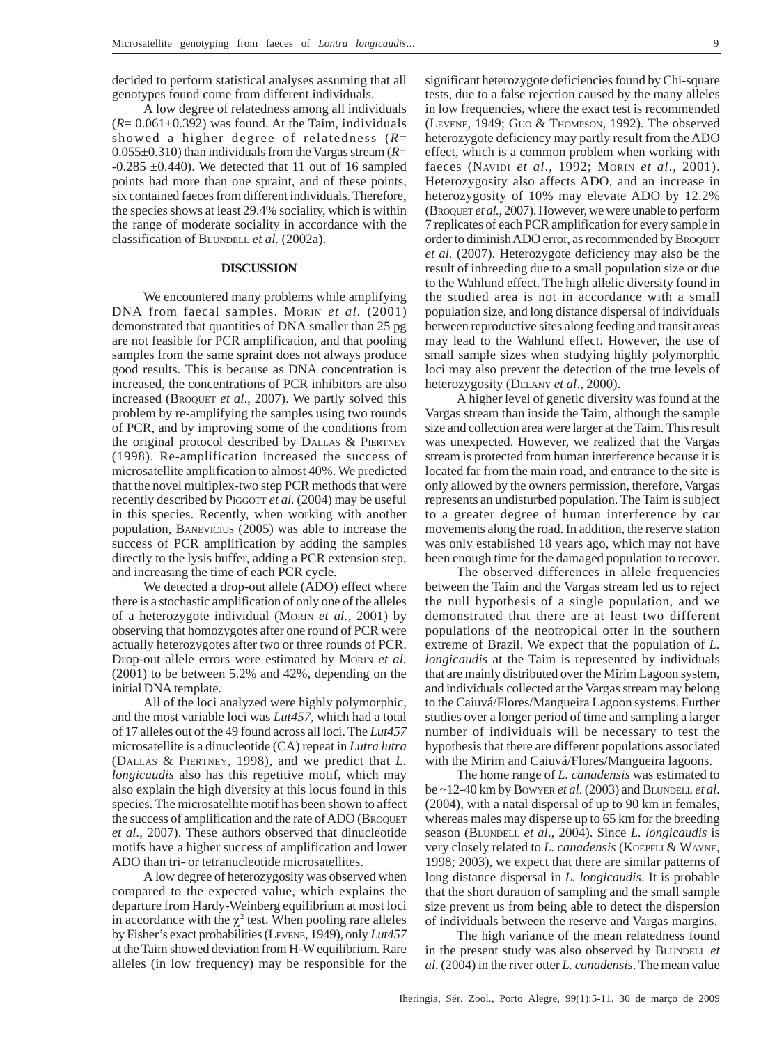decided to perform statistical analyses assuming that all genotypes found come from different individuals.

A low degree of relatedness among all individuals  $(R= 0.061 \pm 0.392)$  was found. At the Taim, individuals showed a higher degree of relatedness (*R*= 0.055±0.310) than individuals from the Vargas stream (*R*=  $-0.285 \pm 0.440$ ). We detected that 11 out of 16 sampled points had more than one spraint, and of these points, six contained faeces from different individuals. Therefore, the species shows at least 29.4% sociality, which is within the range of moderate sociality in accordance with the classification of BLUNDELL *et al.* (2002a).

#### **DISCUSSION**

We encountered many problems while amplifying DNA from faecal samples. MORIN *et al.* (2001) demonstrated that quantities of DNA smaller than 25 pg are not feasible for PCR amplification, and that pooling samples from the same spraint does not always produce good results. This is because as DNA concentration is increased, the concentrations of PCR inhibitors are also increased (BROQUET *et al*., 2007). We partly solved this problem by re-amplifying the samples using two rounds of PCR, and by improving some of the conditions from the original protocol described by DALLAS & PIERTNEY (1998). Re-amplification increased the success of microsatellite amplification to almost 40%. We predicted that the novel multiplex-two step PCR methods that were recently described by PIGGOTT *et al.* (2004) may be useful in this species. Recently, when working with another population, BANEVICIUS (2005) was able to increase the success of PCR amplification by adding the samples directly to the lysis buffer, adding a PCR extension step, and increasing the time of each PCR cycle.

We detected a drop-out allele (ADO) effect where there is a stochastic amplification of only one of the alleles of a heterozygote individual (MORIN *et al.*, 2001) by observing that homozygotes after one round of PCR were actually heterozygotes after two or three rounds of PCR. Drop-out allele errors were estimated by MORIN *et al.* (2001) to be between 5.2% and 42%, depending on the initial DNA template.

All of the loci analyzed were highly polymorphic, and the most variable loci was *Lut457*, which had a total of 17 alleles out of the 49 found across all loci. The *Lut457* microsatellite is a dinucleotide (CA) repeat in *Lutra lutra* (DALLAS & PIERTNEY, 1998), and we predict that *L. longicaudis* also has this repetitive motif, which may also explain the high diversity at this locus found in this species. The microsatellite motif has been shown to affect the success of amplification and the rate of ADO (BROQUET *et al.*, 2007). These authors observed that dinucleotide motifs have a higher success of amplification and lower ADO than tri- or tetranucleotide microsatellites.

A low degree of heterozygosity was observed when compared to the expected value, which explains the departure from Hardy-Weinberg equilibrium at most loci in accordance with the  $\chi^2$  test. When pooling rare alleles by Fisher's exact probabilities (LEVENE, 1949), only *Lut457* at the Taim showed deviation from H-W equilibrium. Rare alleles (in low frequency) may be responsible for the significant heterozygote deficiencies found by Chi-square tests, due to a false rejection caused by the many alleles in low frequencies, where the exact test is recommended (LEVENE, 1949; GUO & THOMPSON, 1992). The observed heterozygote deficiency may partly result from the ADO effect, which is a common problem when working with faeces (NAVIDI *et al*., 1992; MORIN *et al*., 2001). Heterozygosity also affects ADO, and an increase in heterozygosity of 10% may elevate ADO by 12.2% (BROQUET *et al.*, 2007). However, we were unable to perform 7 replicates of each PCR amplification for every sample in order to diminish ADO error, as recommended by BROQUET *et al.* (2007). Heterozygote deficiency may also be the result of inbreeding due to a small population size or due to the Wahlund effect. The high allelic diversity found in the studied area is not in accordance with a small population size, and long distance dispersal of individuals between reproductive sites along feeding and transit areas may lead to the Wahlund effect. However, the use of small sample sizes when studying highly polymorphic loci may also prevent the detection of the true levels of heterozygosity (DELANY *et al*., 2000).

A higher level of genetic diversity was found at the Vargas stream than inside the Taim, although the sample size and collection area were larger at the Taim. This result was unexpected. However, we realized that the Vargas stream is protected from human interference because it is located far from the main road, and entrance to the site is only allowed by the owners permission, therefore, Vargas represents an undisturbed population. The Taim is subject to a greater degree of human interference by car movements along the road. In addition, the reserve station was only established 18 years ago, which may not have been enough time for the damaged population to recover.

The observed differences in allele frequencies between the Taim and the Vargas stream led us to reject the null hypothesis of a single population, and we demonstrated that there are at least two different populations of the neotropical otter in the southern extreme of Brazil. We expect that the population of *L. longicaudis* at the Taim is represented by individuals that are mainly distributed over the Mirim Lagoon system, and individuals collected at the Vargas stream may belong to the Caiuvá/Flores/Mangueira Lagoon systems. Further studies over a longer period of time and sampling a larger number of individuals will be necessary to test the hypothesis that there are different populations associated with the Mirim and Caiuvá/Flores/Mangueira lagoons.

The home range of *L. canadensis* was estimated to be ~12-40 km by BOWYER *et al*. (2003) and BLUNDELL *et al*. (2004), with a natal dispersal of up to 90 km in females, whereas males may disperse up to 65 km for the breeding season (BLUNDELL *et al*., 2004). Since *L. longicaudis* is very closely related to *L. canadensis* (KOEPFLI & WAYNE, 1998; 2003), we expect that there are similar patterns of long distance dispersal in *L. longicaudis*. It is probable that the short duration of sampling and the small sample size prevent us from being able to detect the dispersion of individuals between the reserve and Vargas margins.

The high variance of the mean relatedness found in the present study was also observed by BLUNDELL *et al.* (2004) in the river otter *L. canadensis*. The mean value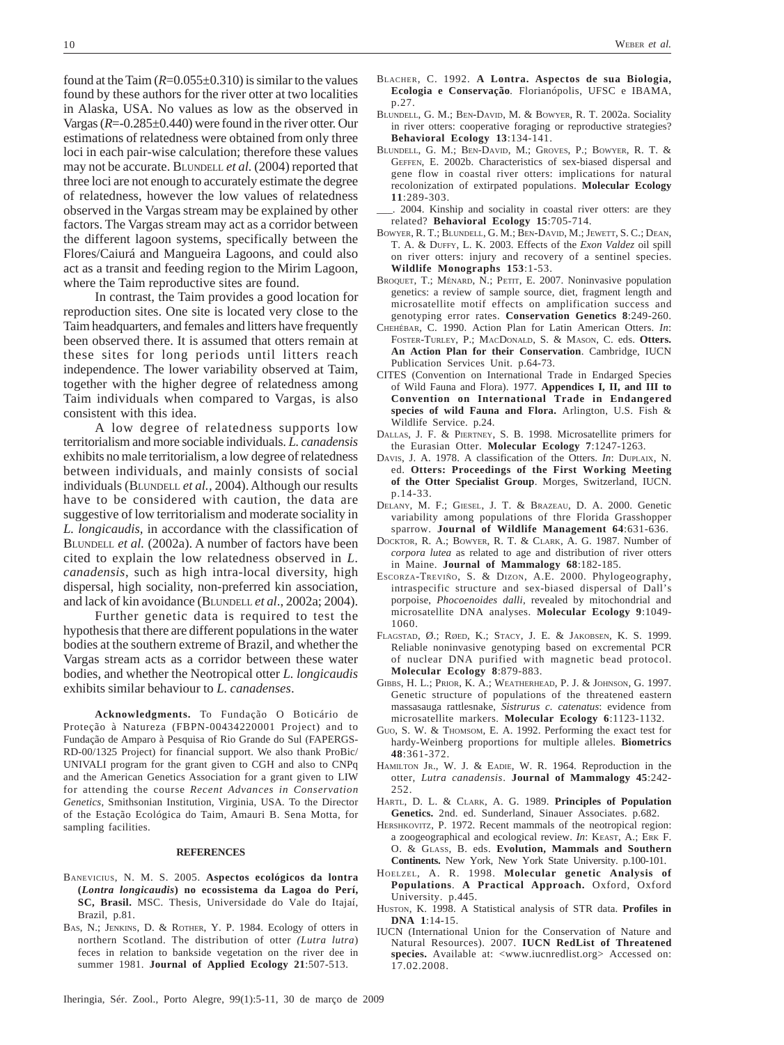found at the Taim  $(R=0.055\pm0.310)$  is similar to the values found by these authors for the river otter at two localities in Alaska, USA. No values as low as the observed in Vargas (*R*=-0.285±0.440) were found in the river otter. Our estimations of relatedness were obtained from only three loci in each pair-wise calculation; therefore these values may not be accurate. BLUNDELL *et al.* (2004) reported that three loci are not enough to accurately estimate the degree of relatedness, however the low values of relatedness observed in the Vargas stream may be explained by other factors. The Vargas stream may act as a corridor between the different lagoon systems, specifically between the Flores/Caiurá and Mangueira Lagoons, and could also act as a transit and feeding region to the Mirim Lagoon, where the Taim reproductive sites are found.

In contrast, the Taim provides a good location for reproduction sites. One site is located very close to the Taim headquarters, and females and litters have frequently been observed there. It is assumed that otters remain at these sites for long periods until litters reach independence. The lower variability observed at Taim, together with the higher degree of relatedness among Taim individuals when compared to Vargas, is also consistent with this idea.

A low degree of relatedness supports low territorialism and more sociable individuals. *L. canadensis* exhibits no male territorialism, a low degree of relatedness between individuals, and mainly consists of social individuals (BLUNDELL *et al.,* 2004). Although our results have to be considered with caution, the data are suggestive of low territorialism and moderate sociality in *L. longicaudis,* in accordance with the classification of BLUNDELL *et al.* (2002a). A number of factors have been cited to explain the low relatedness observed in *L. canadensis*, such as high intra-local diversity, high dispersal, high sociality, non-preferred kin association, and lack of kin avoidance (BLUNDELL *et al*., 2002a; 2004).

Further genetic data is required to test the hypothesis that there are different populations in the water bodies at the southern extreme of Brazil, and whether the Vargas stream acts as a corridor between these water bodies, and whether the Neotropical otter *L. longicaudis* exhibits similar behaviour to *L. canadenses*.

**Acknowledgments.** To Fundação O Boticário de Proteção à Natureza (FBPN-00434220001 Project) and to Fundação de Amparo à Pesquisa of Rio Grande do Sul (FAPERGS-RD-00/1325 Project) for financial support. We also thank ProBic/ UNIVALI program for the grant given to CGH and also to CNPq and the American Genetics Association for a grant given to LIW for attending the course *Recent Advances in Conservation Genetics*, Smithsonian Institution, Virginia, USA*.* To the Director of the Estação Ecológica do Taim, Amauri B. Sena Motta, for sampling facilities.

#### **REFERENCES**

- BANEVICIUS, N. M. S. 2005. **Aspectos ecológicos da lontra (***Lontra longicaudis***) no ecossistema da Lagoa do Perí, SC, Brasil.** MSC. Thesis, Universidade do Vale do Itajaí, Brazil, p.81.
- BAS, N.; JENKINS, D. & ROTHER, Y. P. 1984. Ecology of otters in northern Scotland. The distribution of otter *(Lutra lutra*) feces in relation to bankside vegetation on the river dee in summer 1981. **Journal of Applied Ecology 21**:507-513.
- BLACHER, C. 1992. **A Lontra. Aspectos de sua Biologia, Ecologia e Conservação***.* Florianópolis, UFSC e IBAMA, p.27.
- BLUNDELL, G. M.; BEN-DAVID, M. & BOWYER, R. T. 2002a. Sociality in river otters: cooperative foraging or reproductive strategies? **Behavioral Ecology 13**:134-141.
- BLUNDELL, G. M.; BEN-DAVID, M.; GROVES, P.; BOWYER, R. T. & GEFFEN, E. 2002b. Characteristics of sex-biased dispersal and gene flow in coastal river otters: implications for natural recolonization of extirpated populations. **Molecular Ecology 11**:289-303.
- \_\_\_. 2004. Kinship and sociality in coastal river otters: are they related? **Behavioral Ecology 15**:705-714.
- BOWYER, R. T.; BLUNDELL, G. M.; BEN-DAVID, M.; JEWETT, S. C.; DEAN, T. A. & DUFFY, L. K. 2003. Effects of the *Exon Valdez* oil spill on river otters: injury and recovery of a sentinel species. **Wildlife Monographs 153**:1-53.
- BROQUET, T.; MÉNARD, N.; PETIT, E. 2007. Noninvasive population genetics: a review of sample source, diet, fragment length and microsatellite motif effects on amplification success and genotyping error rates. **Conservation Genetics 8**:249-260.
- CHEHÉBAR, C. 1990. Action Plan for Latin American Otters. *In*: FOSTER-TURLEY, P.; MACDONALD, S. & MASON, C. eds. **Otters. An Action Plan for their Conservation**. Cambridge, IUCN Publication Services Unit. p.64-73.
- CITES (Convention on International Trade in Endarged Species of Wild Fauna and Flora). 1977. **Appendices I, II, and III to Convention on International Trade in Endangered species of wild Fauna and Flora.** Arlington, U.S. Fish & Wildlife Service. p.24.
- DALLAS, J. F. & PIERTNEY, S. B. 1998. Microsatellite primers for the Eurasian Otter. **Molecular Ecology 7**:1247-1263.
- DAVIS, J. A. 1978. A classification of the Otters. *In*: DUPLAIX, N. ed. **Otters: Proceedings of the First Working Meeting of the Otter Specialist Group**. Morges, Switzerland, IUCN. p.14-33.
- DELANY, M. F.; GIESEL, J. T. & BRAZEAU, D. A. 2000. Genetic variability among populations of thre Florida Grasshopper sparrow. **Journal of Wildlife Management 64**:631-636.
- DOCKTOR, R. A.; BOWYER, R. T. & CLARK, A. G. 1987. Number of *corpora lutea* as related to age and distribution of river otters in Maine. **Journal of Mammalogy 68**:182-185.
- ESCORZA-TREVIÑO, S. & DIZON, A.E. 2000. Phylogeography, intraspecific structure and sex-biased dispersal of Dall's porpoise, *Phocoenoides dalli*, revealed by mitochondrial and microsatellite DNA analyses. **Molecular Ecology 9**:1049- 1060.
- FLAGSTAD, Ø.; RØED, K.; STACY, J. E. & JAKOBSEN, K. S. 1999. Reliable noninvasive genotyping based on excremental PCR of nuclear DNA purified with magnetic bead protocol. **Molecular Ecology 8**:879-883.
- GIBBS, H. L.; PRIOR, K. A.; WEATHERHEAD, P. J. & JOHNSON, G. 1997. Genetic structure of populations of the threatened eastern massasauga rattlesnake, *Sistrurus c. catenatus*: evidence from microsatellite markers. **Molecular Ecology 6**:1123-1132.
- GUO, S. W. & THOMSOM, E. A. 1992. Performing the exact test for hardy-Weinberg proportions for multiple alleles. **Biometrics 48**:361-372.
- HAMILTON JR., W. J. & EADIE, W. R. 1964. Reproduction in the otter, *Lutra canadensis*. **Journal of Mammalogy 45**:242- 252.
- HARTL, D. L. & CLARK, A. G. 1989. **Principles of Population Genetics.** 2nd. ed. Sunderland, Sinauer Associates. p.682.
- HERSHKOVITZ, P. 1972. Recent mammals of the neotropical region: a zoogeographical and ecological review. *In*: KEAST, A.; ERK F. O. & GLASS, B. eds. **Evolution, Mammals and Southern Continents.** New York, New York State University. p.100-101.
- HOELZEL, A. R. 1998. **Molecular genetic Analysis of Populations***.* **A Practical Approach.** Oxford, Oxford University. p.445.
- HUSTON, K. 1998. A Statistical analysis of STR data. **Profiles in DNA 1**:14-15.
- IUCN (International Union for the Conservation of Nature and Natural Resources). 2007. **IUCN RedList of Threatened** species. Available at: <www.iucnredlist.org> Accessed on: 17.02.2008.